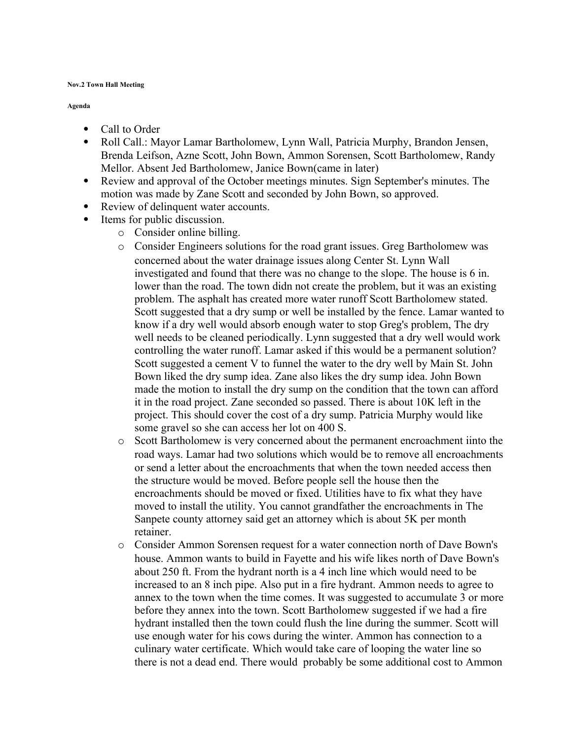## **Nov.2 Town Hall Meeting**

## **Agenda**

- Call to Order
- Roll Call.: Mayor Lamar Bartholomew, Lynn Wall, Patricia Murphy, Brandon Jensen, Brenda Leifson, Azne Scott, John Bown, Ammon Sorensen, Scott Bartholomew, Randy Mellor. Absent Jed Bartholomew, Janice Bown(came in later)
- Review and approval of the October meetings minutes. Sign September's minutes. The motion was made by Zane Scott and seconded by John Bown, so approved.
- Review of delinquent water accounts.
- Items for public discussion.
	- o Consider online billing.
	- o Consider Engineers solutions for the road grant issues. Greg Bartholomew was concerned about the water drainage issues along Center St. Lynn Wall investigated and found that there was no change to the slope. The house is 6 in. lower than the road. The town didn not create the problem, but it was an existing problem. The asphalt has created more water runoff Scott Bartholomew stated. Scott suggested that a dry sump or well be installed by the fence. Lamar wanted to know if a dry well would absorb enough water to stop Greg's problem, The dry well needs to be cleaned periodically. Lynn suggested that a dry well would work controlling the water runoff. Lamar asked if this would be a permanent solution? Scott suggested a cement V to funnel the water to the dry well by Main St. John Bown liked the dry sump idea. Zane also likes the dry sump idea. John Bown made the motion to install the dry sump on the condition that the town can afford it in the road project. Zane seconded so passed. There is about 10K left in the project. This should cover the cost of a dry sump. Patricia Murphy would like some gravel so she can access her lot on 400 S.
	- o Scott Bartholomew is very concerned about the permanent encroachment iinto the road ways. Lamar had two solutions which would be to remove all encroachments or send a letter about the encroachments that when the town needed access then the structure would be moved. Before people sell the house then the encroachments should be moved or fixed. Utilities have to fix what they have moved to install the utility. You cannot grandfather the encroachments in The Sanpete county attorney said get an attorney which is about 5K per month retainer.
	- o Consider Ammon Sorensen request for a water connection north of Dave Bown's house. Ammon wants to build in Fayette and his wife likes north of Dave Bown's about 250 ft. From the hydrant north is a 4 inch line which would need to be increased to an 8 inch pipe. Also put in a fire hydrant. Ammon needs to agree to annex to the town when the time comes. It was suggested to accumulate 3 or more before they annex into the town. Scott Bartholomew suggested if we had a fire hydrant installed then the town could flush the line during the summer. Scott will use enough water for his cows during the winter. Ammon has connection to a culinary water certificate. Which would take care of looping the water line so there is not a dead end. There would probably be some additional cost to Ammon